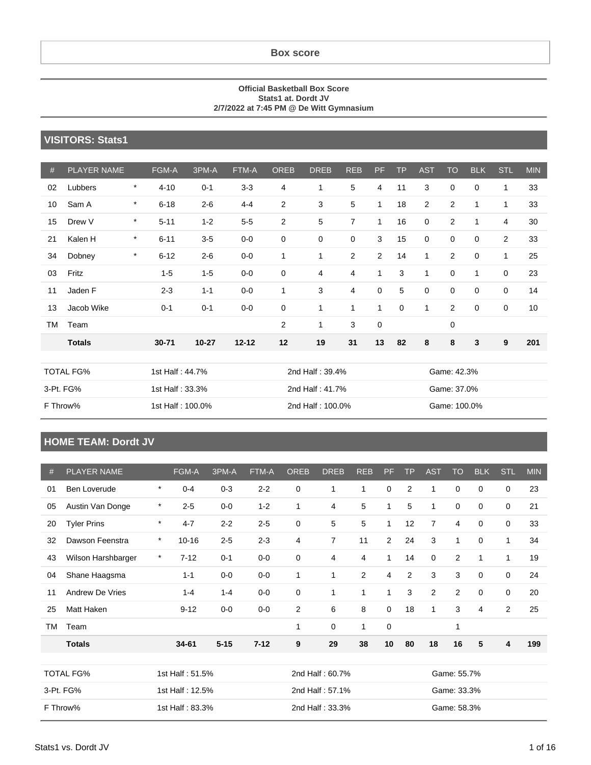**Box score**

#### **Official Basketball Box Score Stats1 at. Dordt JV 2/7/2022 at 7:45 PM @ De Witt Gymnasium**

#### **VISITORS: Stats1**

| #  | <b>PLAYER NAME</b> |         | FGM-A           | 3PM-A     | FTM-A     | <b>OREB</b>  | <b>DREB</b>     | <b>REB</b>     | PF.         | <b>TP</b>   | <b>AST</b>     | <b>TO</b>      | <b>BLK</b>  | <b>STL</b>     | <b>MIN</b> |
|----|--------------------|---------|-----------------|-----------|-----------|--------------|-----------------|----------------|-------------|-------------|----------------|----------------|-------------|----------------|------------|
| 02 | Lubbers            | $\ast$  | $4 - 10$        | $0 - 1$   | $3 - 3$   | 4            | 1               | 5              | 4           | 11          | 3              | 0              | 0           | 1              | 33         |
| 10 | Sam A              | $\ast$  | $6 - 18$        | $2 - 6$   | $4 - 4$   | 2            | 3               | 5              | 1           | 18          | $\overline{2}$ | $\overline{2}$ | 1           | 1              | 33         |
| 15 | Drew V             | $\ast$  | $5 - 11$        | $1 - 2$   | $5-5$     | 2            | 5               | $\overline{7}$ | 1           | 16          | 0              | $\overline{2}$ | 1           | $\overline{4}$ | 30         |
| 21 | Kalen H            | $\star$ | $6 - 11$        | $3-5$     | $0-0$     | 0            | $\mathbf 0$     | $\pmb{0}$      | 3           | 15          | 0              | 0              | $\mathbf 0$ | 2              | 33         |
| 34 | Dobney             | $\star$ | $6 - 12$        | $2 - 6$   | $0-0$     | $\mathbf{1}$ | $\mathbf{1}$    | $\overline{2}$ | 2           | 14          | 1              | $\overline{2}$ | 0           | 1              | 25         |
| 03 | Fritz              |         | $1 - 5$         | $1 - 5$   | $0-0$     | 0            | 4               | 4              | 1           | 3           | 1              | 0              | 1           | $\mathbf 0$    | 23         |
| 11 | Jaden F            |         | $2 - 3$         | $1 - 1$   | $0-0$     | $\mathbf{1}$ | 3               | 4              | $\mathbf 0$ | 5           | $\mathbf 0$    | 0              | $\mathbf 0$ | $\mathbf 0$    | 14         |
| 13 | Jacob Wike         |         | $0 - 1$         | $0 - 1$   | $0-0$     | 0            | 1               | 1              | 1           | $\mathbf 0$ | 1              | $\overline{2}$ | 0           | $\mathbf 0$    | 10         |
| TM | Team               |         |                 |           |           | 2            | 1               | 3              | $\mathbf 0$ |             |                | $\mathbf 0$    |             |                |            |
|    | <b>Totals</b>      |         | $30 - 71$       | $10 - 27$ | $12 - 12$ | 12           | 19              | 31             | 13          | 82          | 8              | 8              | 3           | 9              | 201        |
|    |                    |         |                 |           |           |              |                 |                |             |             |                |                |             |                |            |
|    | <b>TOTAL FG%</b>   |         | 1st Half: 44.7% |           |           |              | 2nd Half: 39.4% |                |             |             |                | Game: 42.3%    |             |                |            |

| TOTAL FG% | 1st Half : 44.7%  | 2nd Half : 39.4%  | Game: 42.3%  |
|-----------|-------------------|-------------------|--------------|
| 3-Pt. FG% | 1st Half : 33.3%  | 2nd Half: 41.7%   | Game: 37.0%  |
| F Throw%  | 1st Half : 100.0% | 2nd Half : 100.0% | Game: 100.0% |

#### **HOME TEAM: Dordt JV**

| #  | <b>PLAYER NAME</b>                  |         | <b>FGM-A</b>    | 3PM-A    | FTM-A           | <b>OREB</b>    | <b>DREB</b>     | <b>REB</b>     | <b>PF</b>    | <b>TP</b> | <b>AST</b>     | <b>TO</b>      | <b>BLK</b>  | <b>STL</b>     | <b>MIN</b> |
|----|-------------------------------------|---------|-----------------|----------|-----------------|----------------|-----------------|----------------|--------------|-----------|----------------|----------------|-------------|----------------|------------|
|    |                                     |         |                 |          |                 |                |                 |                |              |           |                |                |             |                |            |
| 01 | Ben Loverude                        | $\star$ | $0 - 4$         | $0 - 3$  | $2 - 2$         | $\mathbf 0$    | $\mathbf{1}$    | 1              | $\mathbf 0$  | 2         | 1              | $\mathbf 0$    | $\mathbf 0$ | 0              | 23         |
| 05 | Austin Van Donge                    | $\star$ | $2 - 5$         | $0-0$    | $1 - 2$         | $\mathbf{1}$   | 4               | 5              | $\mathbf{1}$ | 5         | 1              | 0              | $\mathbf 0$ | 0              | 21         |
| 20 | <b>Tyler Prins</b>                  | $\star$ | $4 - 7$         | $2 - 2$  | $2 - 5$         | $\mathbf 0$    | 5               | 5              | $\mathbf{1}$ | 12        | $\overline{7}$ | $\overline{4}$ | $\mathbf 0$ | 0              | 33         |
| 32 | Dawson Feenstra                     | $\star$ | $10 - 16$       | $2 - 5$  | $2 - 3$         | 4              | $\overline{7}$  | 11             | 2            | 24        | 3              | 1              | 0           | 1              | 34         |
| 43 | Wilson Harshbarger                  | $\star$ | $7 - 12$        | $0 - 1$  | $0-0$           | $\mathbf 0$    | 4               | 4              | $\mathbf{1}$ | 14        | 0              | 2              | 1           | $\mathbf{1}$   | 19         |
| 04 | Shane Haagsma                       |         | $1 - 1$         | $0-0$    | $0-0$           | 1              | 1               | $\overline{2}$ | 4            | 2         | 3              | 3              | 0           | 0              | 24         |
| 11 | <b>Andrew De Vries</b>              |         | $1 - 4$         | $1 - 4$  | $0-0$           | $\mathbf 0$    | 1               | $\mathbf{1}$   | $\mathbf{1}$ | 3         | 2              | 2              | $\mathbf 0$ | 0              | 20         |
| 25 | Matt Haken                          |         | $9 - 12$        | $0-0$    | $0-0$           | $\overline{c}$ | 6               | 8              | $\mathbf 0$  | 18        | 1              | 3              | 4           | $\overline{2}$ | 25         |
| TM | Team                                |         |                 |          |                 | 1              | 0               | 1              | $\mathbf 0$  |           |                | 1              |             |                |            |
|    | <b>Totals</b>                       |         | 34-61           | $5 - 15$ | $7 - 12$        | 9              | 29              | 38             | 10           | 80        | 18             | 16             | 5           | 4              | 199        |
|    |                                     |         |                 |          |                 |                |                 |                |              |           |                |                |             |                |            |
|    | <b>TOTAL FG%</b><br>1st Half: 51.5% |         |                 |          | 2nd Half: 60.7% |                |                 |                | Game: 55.7%  |           |                |                |             |                |            |
|    | 3-Pt. FG%                           |         | 1st Half: 12.5% |          |                 |                | 2nd Half: 57.1% |                |              |           | Game: 33.3%    |                |             |                |            |
|    | F Throw%                            |         | 1st Half: 83.3% |          |                 |                | 2nd Half: 33.3% |                |              |           | Game: 58.3%    |                |             |                |            |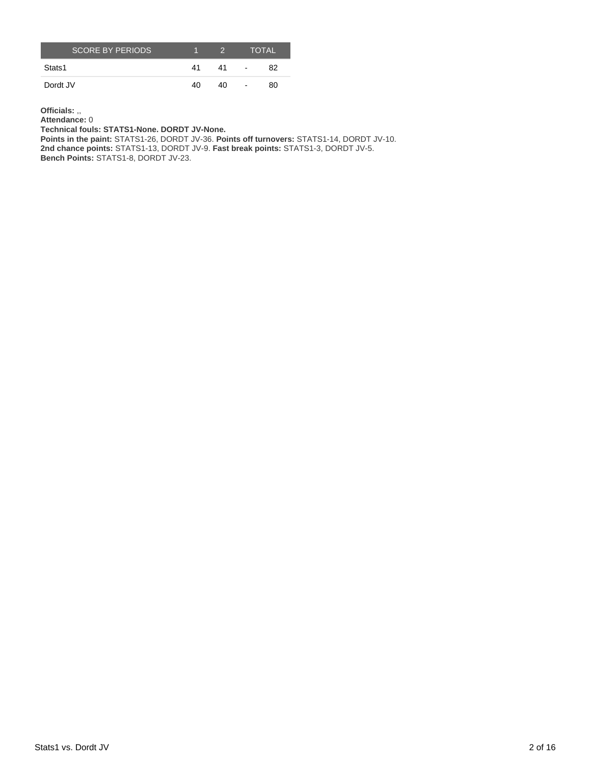| <b>SCORE BY PERIODS</b> |    | $\mathcal{D}$ |                          | <b>TOTAL</b> |
|-------------------------|----|---------------|--------------------------|--------------|
| Stats1                  | 41 | 41            | $\overline{\phantom{a}}$ | 82           |
| Dordt JV                | 40 | 40            | $\overline{\phantom{a}}$ | 80           |

**Officials:** ,,

**Attendance:** 0

**Technical fouls: STATS1-None. DORDT JV-None.**

**Points in the paint:** STATS1-26, DORDT JV-36. **Points off turnovers:** STATS1-14, DORDT JV-10. **2nd chance points:** STATS1-13, DORDT JV-9. **Fast break points:** STATS1-3, DORDT JV-5.

**Bench Points:** STATS1-8, DORDT JV-23.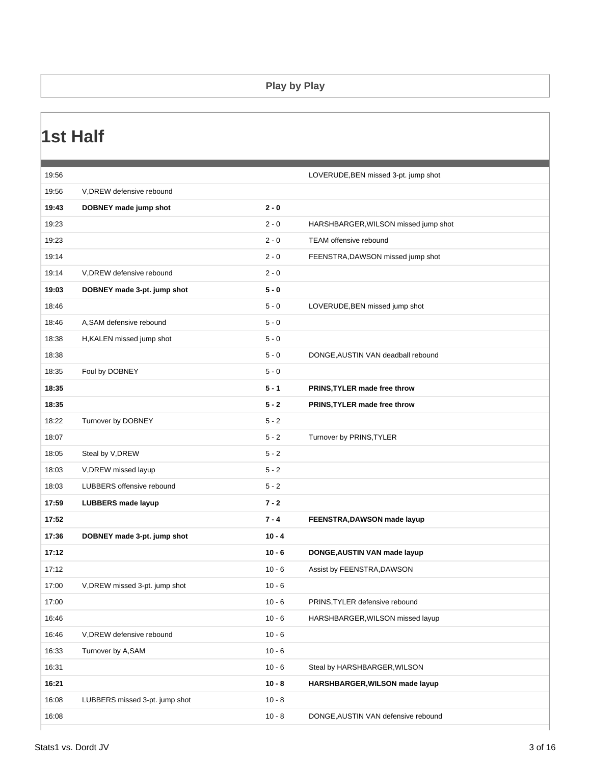#### **Play by Play**

### **1st Half**

| 19:56 |                                |          | LOVERUDE, BEN missed 3-pt. jump shot |
|-------|--------------------------------|----------|--------------------------------------|
| 19:56 | V, DREW defensive rebound      |          |                                      |
| 19:43 | DOBNEY made jump shot          | $2 - 0$  |                                      |
| 19:23 |                                | $2 - 0$  | HARSHBARGER, WILSON missed jump shot |
| 19:23 |                                | $2 - 0$  | <b>TEAM offensive rebound</b>        |
| 19:14 |                                | $2 - 0$  | FEENSTRA, DAWSON missed jump shot    |
| 19:14 | V, DREW defensive rebound      | $2 - 0$  |                                      |
| 19:03 | DOBNEY made 3-pt. jump shot    | $5 - 0$  |                                      |
| 18:46 |                                | $5 - 0$  | LOVERUDE, BEN missed jump shot       |
| 18:46 | A, SAM defensive rebound       | $5 - 0$  |                                      |
| 18:38 | H, KALEN missed jump shot      | $5 - 0$  |                                      |
| 18:38 |                                | $5 - 0$  | DONGE, AUSTIN VAN deadball rebound   |
| 18:35 | Foul by DOBNEY                 | $5 - 0$  |                                      |
| 18:35 |                                | $5 - 1$  | PRINS, TYLER made free throw         |
| 18:35 |                                | $5 - 2$  | PRINS, TYLER made free throw         |
| 18:22 | Turnover by DOBNEY             | $5 - 2$  |                                      |
| 18:07 |                                | $5 - 2$  | Turnover by PRINS, TYLER             |
| 18:05 | Steal by V, DREW               | $5 - 2$  |                                      |
| 18:03 | V, DREW missed layup           | $5 - 2$  |                                      |
| 18:03 | LUBBERS offensive rebound      | $5 - 2$  |                                      |
| 17:59 | <b>LUBBERS</b> made layup      | $7 - 2$  |                                      |
| 17:52 |                                | $7 - 4$  | FEENSTRA, DAWSON made layup          |
| 17:36 | DOBNEY made 3-pt. jump shot    | $10 - 4$ |                                      |
| 17:12 |                                | $10 - 6$ | DONGE, AUSTIN VAN made layup         |
| 17:12 |                                | $10 - 6$ | Assist by FEENSTRA, DAWSON           |
| 17:00 | V, DREW missed 3-pt. jump shot | $10 - 6$ |                                      |
| 17:00 |                                | $10 - 6$ | PRINS, TYLER defensive rebound       |
| 16:46 |                                | $10 - 6$ | HARSHBARGER, WILSON missed layup     |
| 16:46 | V, DREW defensive rebound      | $10 - 6$ |                                      |
| 16:33 | Turnover by A,SAM              | $10 - 6$ |                                      |
| 16:31 |                                | $10 - 6$ | Steal by HARSHBARGER, WILSON         |
| 16:21 |                                | $10 - 8$ | HARSHBARGER, WILSON made layup       |
| 16:08 | LUBBERS missed 3-pt. jump shot | $10 - 8$ |                                      |
| 16:08 |                                | $10 - 8$ | DONGE, AUSTIN VAN defensive rebound  |
|       |                                |          |                                      |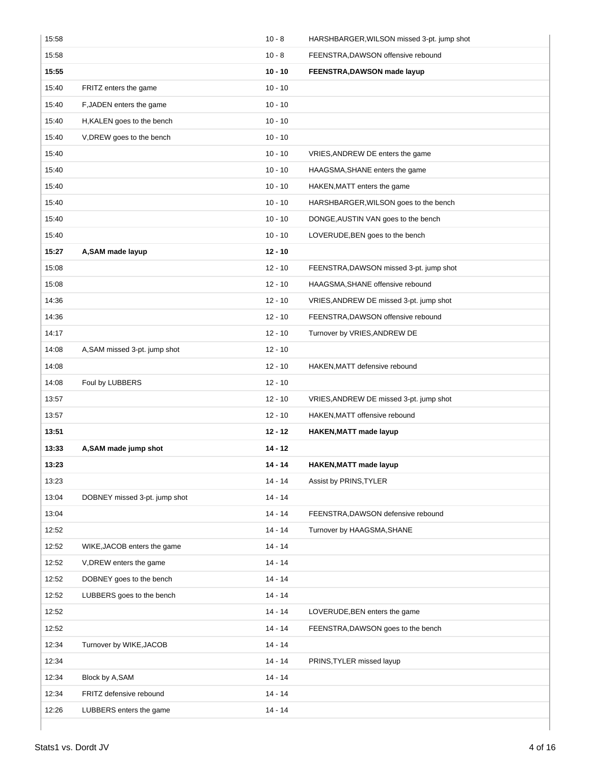| 15:58 |                               | $10 - 8$  | HARSHBARGER, WILSON missed 3-pt. jump shot |
|-------|-------------------------------|-----------|--------------------------------------------|
| 15:58 |                               | $10 - 8$  | FEENSTRA, DAWSON offensive rebound         |
| 15:55 |                               | $10 - 10$ | FEENSTRA, DAWSON made layup                |
| 15:40 | FRITZ enters the game         | $10 - 10$ |                                            |
| 15:40 | F, JADEN enters the game      | $10 - 10$ |                                            |
| 15:40 | H, KALEN goes to the bench    | $10 - 10$ |                                            |
| 15:40 | V, DREW goes to the bench     | $10 - 10$ |                                            |
| 15:40 |                               | $10 - 10$ | VRIES, ANDREW DE enters the game           |
| 15:40 |                               | $10 - 10$ | HAAGSMA, SHANE enters the game             |
| 15:40 |                               | $10 - 10$ | HAKEN, MATT enters the game                |
| 15:40 |                               | $10 - 10$ | HARSHBARGER, WILSON goes to the bench      |
| 15:40 |                               | $10 - 10$ | DONGE, AUSTIN VAN goes to the bench        |
| 15:40 |                               | $10 - 10$ | LOVERUDE, BEN goes to the bench            |
| 15:27 | A, SAM made layup             | $12 - 10$ |                                            |
| 15:08 |                               | $12 - 10$ | FEENSTRA, DAWSON missed 3-pt. jump shot    |
| 15:08 |                               | $12 - 10$ | HAAGSMA, SHANE offensive rebound           |
| 14:36 |                               | $12 - 10$ | VRIES, ANDREW DE missed 3-pt. jump shot    |
| 14:36 |                               | $12 - 10$ | FEENSTRA, DAWSON offensive rebound         |
| 14:17 |                               | $12 - 10$ | Turnover by VRIES, ANDREW DE               |
| 14:08 | A, SAM missed 3-pt. jump shot | $12 - 10$ |                                            |
| 14:08 |                               | $12 - 10$ | HAKEN, MATT defensive rebound              |
| 14:08 | Foul by LUBBERS               | $12 - 10$ |                                            |
| 13:57 |                               | $12 - 10$ | VRIES, ANDREW DE missed 3-pt. jump shot    |
| 13:57 |                               | $12 - 10$ | HAKEN, MATT offensive rebound              |
| 13:51 |                               | $12 - 12$ | <b>HAKEN, MATT made layup</b>              |
| 13:33 | A, SAM made jump shot         | $14 - 12$ |                                            |
| 13:23 |                               | 14 - 14   | <b>HAKEN, MATT made layup</b>              |
| 13:23 |                               | $14 - 14$ | Assist by PRINS, TYLER                     |
| 13:04 | DOBNEY missed 3-pt. jump shot | $14 - 14$ |                                            |
| 13:04 |                               | $14 - 14$ | FEENSTRA, DAWSON defensive rebound         |
| 12:52 |                               | $14 - 14$ | Turnover by HAAGSMA, SHANE                 |
| 12:52 | WIKE, JACOB enters the game   | $14 - 14$ |                                            |
| 12:52 | V, DREW enters the game       | 14 - 14   |                                            |
| 12:52 | DOBNEY goes to the bench      | $14 - 14$ |                                            |
| 12:52 | LUBBERS goes to the bench     | $14 - 14$ |                                            |
| 12:52 |                               | 14 - 14   | LOVERUDE, BEN enters the game              |
| 12:52 |                               | $14 - 14$ | FEENSTRA, DAWSON goes to the bench         |
| 12:34 | Turnover by WIKE, JACOB       | $14 - 14$ |                                            |
| 12:34 |                               | $14 - 14$ | PRINS, TYLER missed layup                  |
| 12:34 | Block by A,SAM                | $14 - 14$ |                                            |
| 12:34 | FRITZ defensive rebound       | $14 - 14$ |                                            |
| 12:26 | LUBBERS enters the game       | $14 - 14$ |                                            |
|       |                               |           |                                            |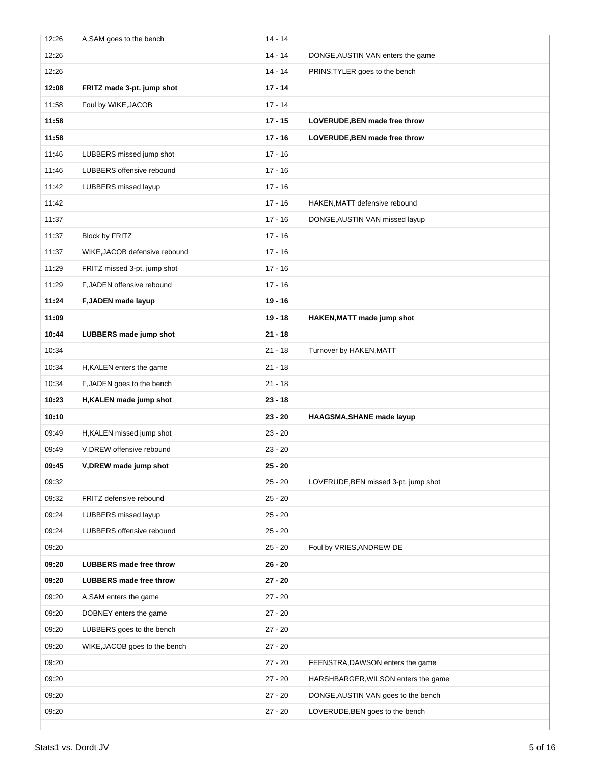| 12:26 | A, SAM goes to the bench       | $14 - 14$ |                                      |
|-------|--------------------------------|-----------|--------------------------------------|
| 12:26 |                                | $14 - 14$ | DONGE, AUSTIN VAN enters the game    |
| 12:26 |                                | $14 - 14$ | PRINS, TYLER goes to the bench       |
| 12:08 | FRITZ made 3-pt. jump shot     | $17 - 14$ |                                      |
| 11:58 | Foul by WIKE, JACOB            | $17 - 14$ |                                      |
| 11:58 |                                | $17 - 15$ | LOVERUDE, BEN made free throw        |
| 11:58 |                                | $17 - 16$ | LOVERUDE, BEN made free throw        |
| 11:46 | LUBBERS missed jump shot       | $17 - 16$ |                                      |
| 11:46 | LUBBERS offensive rebound      | $17 - 16$ |                                      |
| 11:42 | LUBBERS missed layup           | $17 - 16$ |                                      |
| 11:42 |                                | $17 - 16$ | HAKEN, MATT defensive rebound        |
| 11:37 |                                | $17 - 16$ | DONGE, AUSTIN VAN missed layup       |
| 11:37 | Block by FRITZ                 | $17 - 16$ |                                      |
| 11:37 | WIKE, JACOB defensive rebound  | $17 - 16$ |                                      |
| 11:29 | FRITZ missed 3-pt. jump shot   | $17 - 16$ |                                      |
| 11:29 | F, JADEN offensive rebound     | $17 - 16$ |                                      |
| 11:24 | F, JADEN made layup            | $19 - 16$ |                                      |
| 11:09 |                                | $19 - 18$ | HAKEN, MATT made jump shot           |
| 10:44 | LUBBERS made jump shot         | $21 - 18$ |                                      |
| 10:34 |                                | $21 - 18$ | Turnover by HAKEN, MATT              |
| 10:34 | H, KALEN enters the game       | $21 - 18$ |                                      |
| 10:34 | F, JADEN goes to the bench     | $21 - 18$ |                                      |
| 10:23 | H, KALEN made jump shot        | $23 - 18$ |                                      |
| 10:10 |                                | $23 - 20$ | HAAGSMA, SHANE made layup            |
| 09:49 | H, KALEN missed jump shot      | $23 - 20$ |                                      |
| 09:49 | V, DREW offensive rebound      | $23 - 20$ |                                      |
| 09:45 | V, DREW made jump shot         | $25 - 20$ |                                      |
| 09:32 |                                | $25 - 20$ | LOVERUDE, BEN missed 3-pt. jump shot |
| 09:32 | FRITZ defensive rebound        | $25 - 20$ |                                      |
| 09:24 | LUBBERS missed layup           | $25 - 20$ |                                      |
| 09:24 | LUBBERS offensive rebound      | $25 - 20$ |                                      |
| 09:20 |                                | $25 - 20$ | Foul by VRIES, ANDREW DE             |
| 09:20 | <b>LUBBERS</b> made free throw | $26 - 20$ |                                      |
| 09:20 | <b>LUBBERS</b> made free throw | $27 - 20$ |                                      |
| 09:20 | A, SAM enters the game         | $27 - 20$ |                                      |
| 09:20 | DOBNEY enters the game         | $27 - 20$ |                                      |
| 09:20 | LUBBERS goes to the bench      | $27 - 20$ |                                      |
| 09:20 | WIKE, JACOB goes to the bench  | $27 - 20$ |                                      |
| 09:20 |                                | $27 - 20$ | FEENSTRA, DAWSON enters the game     |
| 09:20 |                                | $27 - 20$ | HARSHBARGER, WILSON enters the game  |
| 09:20 |                                | $27 - 20$ | DONGE, AUSTIN VAN goes to the bench  |
| 09:20 |                                | $27 - 20$ | LOVERUDE, BEN goes to the bench      |
|       |                                |           |                                      |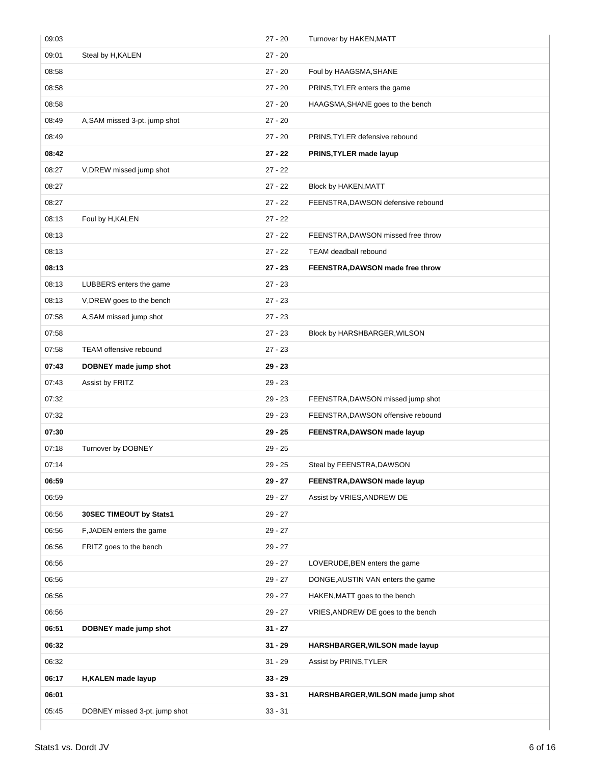| 09:03 |                               | $27 - 20$ | Turnover by HAKEN, MATT            |
|-------|-------------------------------|-----------|------------------------------------|
| 09:01 | Steal by H, KALEN             | $27 - 20$ |                                    |
| 08:58 |                               | $27 - 20$ | Foul by HAAGSMA, SHANE             |
| 08:58 |                               | $27 - 20$ | PRINS, TYLER enters the game       |
| 08:58 |                               | $27 - 20$ | HAAGSMA, SHANE goes to the bench   |
| 08:49 | A, SAM missed 3-pt. jump shot | $27 - 20$ |                                    |
| 08:49 |                               | $27 - 20$ | PRINS, TYLER defensive rebound     |
| 08:42 |                               | $27 - 22$ | PRINS, TYLER made layup            |
| 08:27 | V, DREW missed jump shot      | $27 - 22$ |                                    |
| 08:27 |                               | $27 - 22$ | Block by HAKEN, MATT               |
| 08:27 |                               | $27 - 22$ | FEENSTRA, DAWSON defensive rebound |
| 08:13 | Foul by H, KALEN              | $27 - 22$ |                                    |
| 08:13 |                               | $27 - 22$ | FEENSTRA, DAWSON missed free throw |
| 08:13 |                               | $27 - 22$ | TEAM deadball rebound              |
| 08:13 |                               | $27 - 23$ | FEENSTRA, DAWSON made free throw   |
| 08:13 | LUBBERS enters the game       | $27 - 23$ |                                    |
| 08:13 | V, DREW goes to the bench     | $27 - 23$ |                                    |
| 07:58 | A, SAM missed jump shot       | $27 - 23$ |                                    |
| 07:58 |                               | $27 - 23$ | Block by HARSHBARGER, WILSON       |
| 07:58 | <b>TEAM offensive rebound</b> | $27 - 23$ |                                    |
| 07:43 | DOBNEY made jump shot         | $29 - 23$ |                                    |
| 07:43 | Assist by FRITZ               | $29 - 23$ |                                    |
| 07:32 |                               | $29 - 23$ | FEENSTRA, DAWSON missed jump shot  |
| 07:32 |                               | $29 - 23$ | FEENSTRA, DAWSON offensive rebound |
| 07:30 |                               | $29 - 25$ | FEENSTRA, DAWSON made layup        |
| 07:18 | Turnover by DOBNEY            | $29 - 25$ |                                    |
| 07:14 |                               | $29 - 25$ | Steal by FEENSTRA, DAWSON          |
| 06:59 |                               | $29 - 27$ | FEENSTRA, DAWSON made layup        |
| 06:59 |                               | $29 - 27$ | Assist by VRIES, ANDREW DE         |
| 06:56 | 30SEC TIMEOUT by Stats1       | $29 - 27$ |                                    |
| 06:56 | F, JADEN enters the game      | $29 - 27$ |                                    |
| 06:56 | FRITZ goes to the bench       | $29 - 27$ |                                    |
| 06:56 |                               | $29 - 27$ | LOVERUDE, BEN enters the game      |
| 06:56 |                               | $29 - 27$ | DONGE, AUSTIN VAN enters the game  |
| 06:56 |                               | $29 - 27$ | HAKEN, MATT goes to the bench      |
| 06:56 |                               | $29 - 27$ | VRIES, ANDREW DE goes to the bench |
| 06:51 | DOBNEY made jump shot         | $31 - 27$ |                                    |
| 06:32 |                               | $31 - 29$ | HARSHBARGER, WILSON made layup     |
| 06:32 |                               | $31 - 29$ | Assist by PRINS, TYLER             |
| 06:17 | H, KALEN made layup           | $33 - 29$ |                                    |
| 06:01 |                               | $33 - 31$ | HARSHBARGER, WILSON made jump shot |
| 05:45 | DOBNEY missed 3-pt. jump shot | $33 - 31$ |                                    |
|       |                               |           |                                    |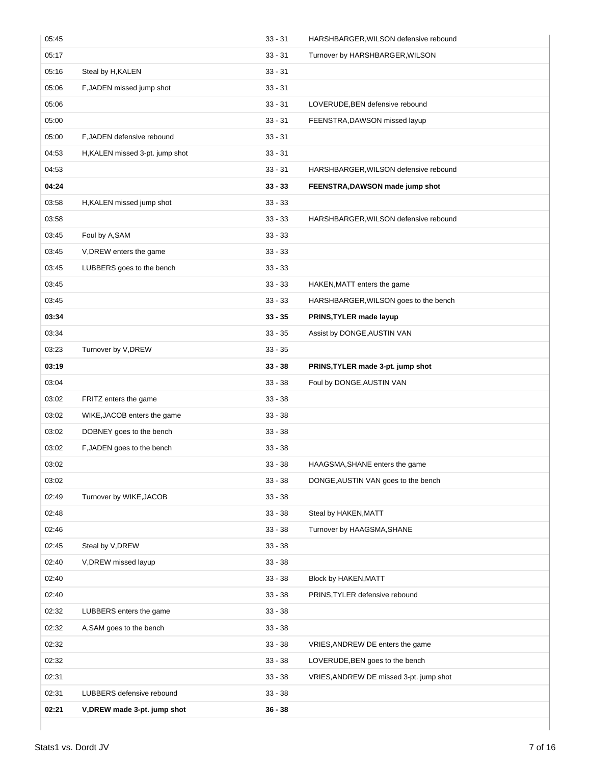| 05:45 |                                 | $33 - 31$ | HARSHBARGER, WILSON defensive rebound   |
|-------|---------------------------------|-----------|-----------------------------------------|
| 05:17 |                                 | $33 - 31$ | Turnover by HARSHBARGER, WILSON         |
| 05:16 | Steal by H, KALEN               | $33 - 31$ |                                         |
| 05:06 | F, JADEN missed jump shot       | $33 - 31$ |                                         |
| 05:06 |                                 | $33 - 31$ | LOVERUDE, BEN defensive rebound         |
| 05:00 |                                 | $33 - 31$ | FEENSTRA, DAWSON missed layup           |
| 05:00 | F, JADEN defensive rebound      | $33 - 31$ |                                         |
| 04:53 | H, KALEN missed 3-pt. jump shot | $33 - 31$ |                                         |
| 04:53 |                                 | $33 - 31$ | HARSHBARGER, WILSON defensive rebound   |
| 04:24 |                                 | $33 - 33$ | FEENSTRA, DAWSON made jump shot         |
| 03:58 | H, KALEN missed jump shot       | $33 - 33$ |                                         |
| 03:58 |                                 | $33 - 33$ | HARSHBARGER, WILSON defensive rebound   |
| 03:45 | Foul by A,SAM                   | $33 - 33$ |                                         |
| 03:45 | V, DREW enters the game         | $33 - 33$ |                                         |
| 03:45 | LUBBERS goes to the bench       | $33 - 33$ |                                         |
| 03:45 |                                 | $33 - 33$ | HAKEN, MATT enters the game             |
| 03:45 |                                 | $33 - 33$ | HARSHBARGER, WILSON goes to the bench   |
| 03:34 |                                 | $33 - 35$ | PRINS, TYLER made layup                 |
| 03:34 |                                 | $33 - 35$ | Assist by DONGE, AUSTIN VAN             |
| 03:23 | Turnover by V, DREW             | $33 - 35$ |                                         |
| 03:19 |                                 | $33 - 38$ | PRINS, TYLER made 3-pt. jump shot       |
| 03:04 |                                 | $33 - 38$ | Foul by DONGE, AUSTIN VAN               |
| 03:02 | FRITZ enters the game           | $33 - 38$ |                                         |
| 03:02 | WIKE, JACOB enters the game     | $33 - 38$ |                                         |
| 03:02 | DOBNEY goes to the bench        | $33 - 38$ |                                         |
| 03:02 | F, JADEN goes to the bench      | $33 - 38$ |                                         |
| 03:02 |                                 | $33 - 38$ | HAAGSMA, SHANE enters the game          |
| 03:02 |                                 | $33 - 38$ | DONGE, AUSTIN VAN goes to the bench     |
| 02:49 | Turnover by WIKE, JACOB         | $33 - 38$ |                                         |
| 02:48 |                                 | $33 - 38$ | Steal by HAKEN, MATT                    |
| 02:46 |                                 | $33 - 38$ | Turnover by HAAGSMA, SHANE              |
| 02:45 | Steal by V, DREW                | $33 - 38$ |                                         |
| 02:40 | V, DREW missed layup            | $33 - 38$ |                                         |
| 02:40 |                                 | $33 - 38$ | Block by HAKEN, MATT                    |
| 02:40 |                                 | $33 - 38$ | PRINS, TYLER defensive rebound          |
| 02:32 | LUBBERS enters the game         | $33 - 38$ |                                         |
| 02:32 | A, SAM goes to the bench        | $33 - 38$ |                                         |
| 02:32 |                                 | $33 - 38$ | VRIES, ANDREW DE enters the game        |
| 02:32 |                                 | $33 - 38$ | LOVERUDE, BEN goes to the bench         |
| 02:31 |                                 | $33 - 38$ | VRIES, ANDREW DE missed 3-pt. jump shot |
| 02:31 | LUBBERS defensive rebound       | $33 - 38$ |                                         |
| 02:21 | V, DREW made 3-pt. jump shot    | $36 - 38$ |                                         |
|       |                                 |           |                                         |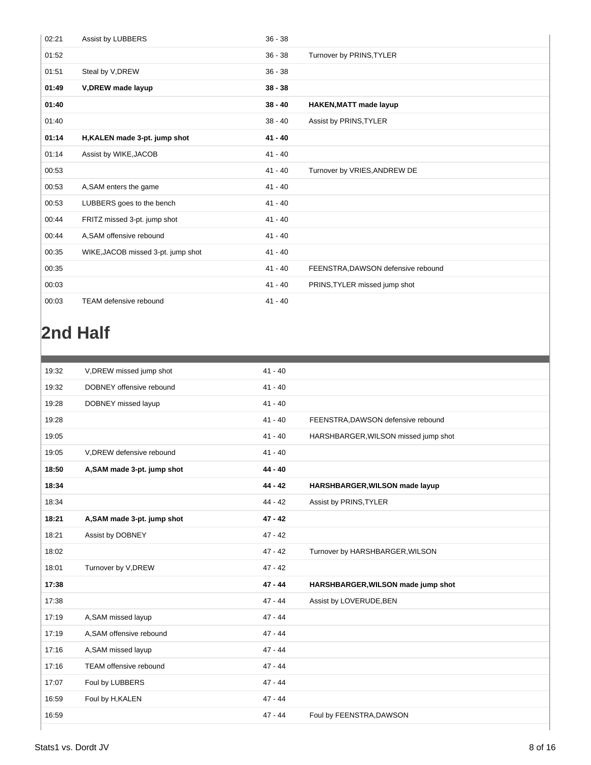| 02:21 | Assist by LUBBERS                  | $36 - 38$ |                                    |
|-------|------------------------------------|-----------|------------------------------------|
| 01:52 |                                    | $36 - 38$ | Turnover by PRINS, TYLER           |
| 01:51 | Steal by V, DREW                   | $36 - 38$ |                                    |
| 01:49 | V, DREW made layup                 | $38 - 38$ |                                    |
| 01:40 |                                    | $38 - 40$ | <b>HAKEN, MATT made layup</b>      |
| 01:40 |                                    | $38 - 40$ | Assist by PRINS, TYLER             |
| 01:14 | H, KALEN made 3-pt. jump shot      | $41 - 40$ |                                    |
| 01:14 | Assist by WIKE, JACOB              | $41 - 40$ |                                    |
| 00:53 |                                    | $41 - 40$ | Turnover by VRIES, ANDREW DE       |
| 00:53 | A, SAM enters the game             | $41 - 40$ |                                    |
| 00:53 | LUBBERS goes to the bench          | $41 - 40$ |                                    |
| 00:44 | FRITZ missed 3-pt. jump shot       | $41 - 40$ |                                    |
| 00:44 | A, SAM offensive rebound           | $41 - 40$ |                                    |
| 00:35 | WIKE, JACOB missed 3-pt. jump shot | $41 - 40$ |                                    |
| 00:35 |                                    | $41 - 40$ | FEENSTRA, DAWSON defensive rebound |
| 00:03 |                                    | $41 - 40$ | PRINS, TYLER missed jump shot      |
| 00:03 | <b>TEAM defensive rebound</b>      | $41 - 40$ |                                    |

# **2nd Half**

| 19:32 | V, DREW missed jump shot    | $41 - 40$ |                                      |
|-------|-----------------------------|-----------|--------------------------------------|
|       |                             |           |                                      |
| 19:32 | DOBNEY offensive rebound    | $41 - 40$ |                                      |
| 19:28 | DOBNEY missed layup         | $41 - 40$ |                                      |
| 19:28 |                             | $41 - 40$ | FEENSTRA, DAWSON defensive rebound   |
| 19:05 |                             | $41 - 40$ | HARSHBARGER, WILSON missed jump shot |
| 19:05 | V, DREW defensive rebound   | $41 - 40$ |                                      |
| 18:50 | A, SAM made 3-pt. jump shot | $44 - 40$ |                                      |
| 18:34 |                             | $44 - 42$ | HARSHBARGER, WILSON made layup       |
| 18:34 |                             | $44 - 42$ | Assist by PRINS, TYLER               |
| 18:21 | A, SAM made 3-pt. jump shot | $47 - 42$ |                                      |
| 18:21 | Assist by DOBNEY            | $47 - 42$ |                                      |
| 18:02 |                             | $47 - 42$ | Turnover by HARSHBARGER, WILSON      |
| 18:01 | Turnover by V, DREW         | $47 - 42$ |                                      |
| 17:38 |                             | $47 - 44$ | HARSHBARGER, WILSON made jump shot   |
| 17:38 |                             | $47 - 44$ | Assist by LOVERUDE, BEN              |
| 17:19 | A, SAM missed layup         | $47 - 44$ |                                      |
| 17:19 | A, SAM offensive rebound    | $47 - 44$ |                                      |
| 17:16 | A, SAM missed layup         | $47 - 44$ |                                      |
| 17:16 | TEAM offensive rebound      | $47 - 44$ |                                      |
| 17:07 | Foul by LUBBERS             | $47 - 44$ |                                      |
| 16:59 | Foul by H, KALEN            | $47 - 44$ |                                      |
| 16:59 |                             | $47 - 44$ | Foul by FEENSTRA, DAWSON             |
|       |                             |           |                                      |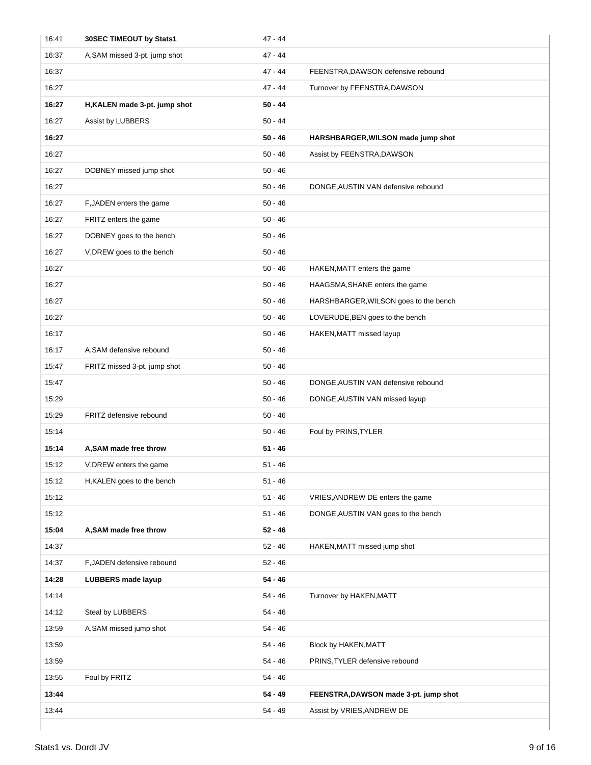| 16:41 | 30SEC TIMEOUT by Stats1       | $47 - 44$ |                                       |
|-------|-------------------------------|-----------|---------------------------------------|
| 16:37 | A, SAM missed 3-pt. jump shot | $47 - 44$ |                                       |
| 16:37 |                               | 47 - 44   | FEENSTRA, DAWSON defensive rebound    |
| 16:27 |                               | 47 - 44   | Turnover by FEENSTRA, DAWSON          |
| 16:27 | H, KALEN made 3-pt. jump shot | $50 - 44$ |                                       |
| 16:27 | Assist by LUBBERS             | $50 - 44$ |                                       |
| 16:27 |                               | 50 - 46   | HARSHBARGER, WILSON made jump shot    |
| 16:27 |                               | $50 - 46$ | Assist by FEENSTRA, DAWSON            |
| 16:27 | DOBNEY missed jump shot       | $50 - 46$ |                                       |
| 16:27 |                               | $50 - 46$ | DONGE, AUSTIN VAN defensive rebound   |
| 16:27 | F, JADEN enters the game      | $50 - 46$ |                                       |
| 16:27 | FRITZ enters the game         | $50 - 46$ |                                       |
| 16:27 | DOBNEY goes to the bench      | $50 - 46$ |                                       |
| 16:27 | V, DREW goes to the bench     | $50 - 46$ |                                       |
| 16:27 |                               | $50 - 46$ | HAKEN, MATT enters the game           |
| 16:27 |                               | $50 - 46$ | HAAGSMA, SHANE enters the game        |
| 16:27 |                               | 50 - 46   | HARSHBARGER, WILSON goes to the bench |
| 16:27 |                               | $50 - 46$ | LOVERUDE, BEN goes to the bench       |
| 16:17 |                               | $50 - 46$ | HAKEN, MATT missed layup              |
| 16:17 | A, SAM defensive rebound      | $50 - 46$ |                                       |
| 15:47 | FRITZ missed 3-pt. jump shot  | $50 - 46$ |                                       |
| 15:47 |                               | $50 - 46$ | DONGE, AUSTIN VAN defensive rebound   |
| 15:29 |                               | $50 - 46$ | DONGE, AUSTIN VAN missed layup        |
| 15:29 | FRITZ defensive rebound       | 50 - 46   |                                       |
| 15:14 |                               | $50 - 46$ | Foul by PRINS, TYLER                  |
| 15:14 | A, SAM made free throw        | $51 - 46$ |                                       |
| 15:12 | V, DREW enters the game       | 51 - 46   |                                       |
| 15:12 | H, KALEN goes to the bench    | $51 - 46$ |                                       |
| 15:12 |                               | $51 - 46$ | VRIES, ANDREW DE enters the game      |
| 15:12 |                               | $51 - 46$ | DONGE, AUSTIN VAN goes to the bench   |
| 15:04 | A, SAM made free throw        | $52 - 46$ |                                       |
| 14:37 |                               | $52 - 46$ | HAKEN, MATT missed jump shot          |
| 14:37 | F, JADEN defensive rebound    | $52 - 46$ |                                       |
| 14:28 | <b>LUBBERS</b> made layup     | $54 - 46$ |                                       |
| 14:14 |                               | 54 - 46   | Turnover by HAKEN, MATT               |
| 14:12 | Steal by LUBBERS              | 54 - 46   |                                       |
| 13:59 | A, SAM missed jump shot       | $54 - 46$ |                                       |
| 13:59 |                               | 54 - 46   | Block by HAKEN, MATT                  |
| 13:59 |                               | 54 - 46   | PRINS, TYLER defensive rebound        |
| 13:55 | Foul by FRITZ                 | 54 - 46   |                                       |
| 13:44 |                               | $54 - 49$ | FEENSTRA, DAWSON made 3-pt. jump shot |
| 13:44 |                               | 54 - 49   | Assist by VRIES, ANDREW DE            |
|       |                               |           |                                       |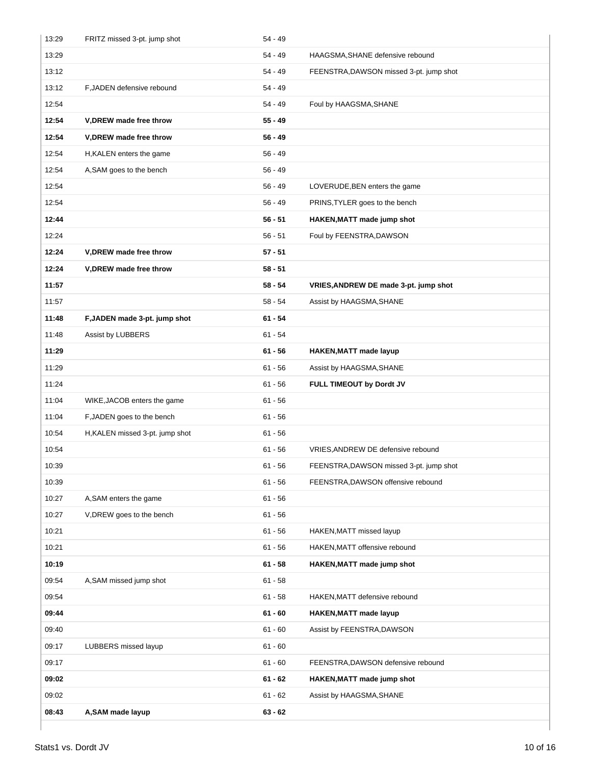| 13:29 | FRITZ missed 3-pt. jump shot    | $54 - 49$ |                                         |
|-------|---------------------------------|-----------|-----------------------------------------|
| 13:29 |                                 | $54 - 49$ | HAAGSMA, SHANE defensive rebound        |
| 13:12 |                                 | $54 - 49$ | FEENSTRA, DAWSON missed 3-pt. jump shot |
| 13:12 | F, JADEN defensive rebound      | $54 - 49$ |                                         |
| 12:54 |                                 | 54 - 49   | Foul by HAAGSMA, SHANE                  |
| 12:54 | V, DREW made free throw         | $55 - 49$ |                                         |
| 12:54 | V, DREW made free throw         | $56 - 49$ |                                         |
| 12:54 | H, KALEN enters the game        | $56 - 49$ |                                         |
| 12:54 | A, SAM goes to the bench        | $56 - 49$ |                                         |
| 12:54 |                                 | $56 - 49$ | LOVERUDE, BEN enters the game           |
| 12:54 |                                 | $56 - 49$ | PRINS, TYLER goes to the bench          |
| 12:44 |                                 | $56 - 51$ | HAKEN, MATT made jump shot              |
| 12:24 |                                 | $56 - 51$ | Foul by FEENSTRA, DAWSON                |
| 12:24 | V, DREW made free throw         | $57 - 51$ |                                         |
| 12:24 | V, DREW made free throw         | $58 - 51$ |                                         |
| 11:57 |                                 | $58 - 54$ | VRIES, ANDREW DE made 3-pt. jump shot   |
| 11:57 |                                 | $58 - 54$ | Assist by HAAGSMA, SHANE                |
| 11:48 | F, JADEN made 3-pt. jump shot   | $61 - 54$ |                                         |
| 11:48 | Assist by LUBBERS               | $61 - 54$ |                                         |
| 11:29 |                                 | $61 - 56$ | <b>HAKEN, MATT made layup</b>           |
| 11:29 |                                 | $61 - 56$ | Assist by HAAGSMA, SHANE                |
| 11:24 |                                 | $61 - 56$ | FULL TIMEOUT by Dordt JV                |
| 11:04 | WIKE, JACOB enters the game     | $61 - 56$ |                                         |
| 11:04 | F, JADEN goes to the bench      | $61 - 56$ |                                         |
| 10:54 | H, KALEN missed 3-pt. jump shot | $61 - 56$ |                                         |
| 10:54 |                                 | $61 - 56$ | VRIES, ANDREW DE defensive rebound      |
| 10:39 |                                 | $61 - 56$ | FEENSTRA, DAWSON missed 3-pt. jump shot |
| 10:39 |                                 | $61 - 56$ | FEENSTRA, DAWSON offensive rebound      |
| 10:27 | A, SAM enters the game          | $61 - 56$ |                                         |
| 10:27 | V, DREW goes to the bench       | $61 - 56$ |                                         |
| 10:21 |                                 | $61 - 56$ | HAKEN, MATT missed layup                |
| 10:21 |                                 | $61 - 56$ | HAKEN, MATT offensive rebound           |
| 10:19 |                                 | $61 - 58$ | HAKEN, MATT made jump shot              |
| 09:54 | A, SAM missed jump shot         | $61 - 58$ |                                         |
| 09:54 |                                 | $61 - 58$ | HAKEN, MATT defensive rebound           |
| 09:44 |                                 | $61 - 60$ | <b>HAKEN, MATT made layup</b>           |
| 09:40 |                                 | $61 - 60$ | Assist by FEENSTRA, DAWSON              |
| 09:17 | LUBBERS missed layup            | $61 - 60$ |                                         |
| 09:17 |                                 | $61 - 60$ | FEENSTRA, DAWSON defensive rebound      |
| 09:02 |                                 | $61 - 62$ | HAKEN, MATT made jump shot              |
| 09:02 |                                 | 61 - 62   | Assist by HAAGSMA, SHANE                |
| 08:43 | A, SAM made layup               | $63 - 62$ |                                         |
|       |                                 |           |                                         |

 $\overline{\phantom{a}}$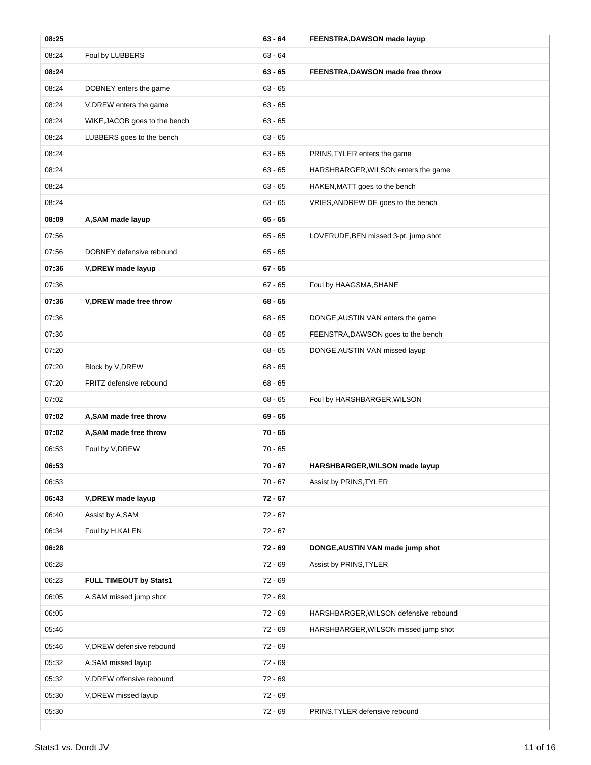| 08:25 |                               | $63 - 64$ | FEENSTRA, DAWSON made layup           |
|-------|-------------------------------|-----------|---------------------------------------|
| 08:24 | Foul by LUBBERS               | $63 - 64$ |                                       |
| 08:24 |                               | $63 - 65$ | FEENSTRA, DAWSON made free throw      |
| 08:24 | DOBNEY enters the game        | $63 - 65$ |                                       |
| 08:24 | V, DREW enters the game       | $63 - 65$ |                                       |
| 08:24 | WIKE, JACOB goes to the bench | $63 - 65$ |                                       |
| 08:24 | LUBBERS goes to the bench     | $63 - 65$ |                                       |
| 08:24 |                               | $63 - 65$ | PRINS, TYLER enters the game          |
| 08:24 |                               | $63 - 65$ | HARSHBARGER, WILSON enters the game   |
| 08:24 |                               | 63 - 65   | HAKEN, MATT goes to the bench         |
| 08:24 |                               | $63 - 65$ | VRIES, ANDREW DE goes to the bench    |
| 08:09 | A, SAM made layup             | $65 - 65$ |                                       |
| 07:56 |                               | $65 - 65$ | LOVERUDE, BEN missed 3-pt. jump shot  |
| 07:56 | DOBNEY defensive rebound      | 65 - 65   |                                       |
| 07:36 | V, DREW made layup            | $67 - 65$ |                                       |
| 07:36 |                               | $67 - 65$ | Foul by HAAGSMA, SHANE                |
| 07:36 | V, DREW made free throw       | $68 - 65$ |                                       |
| 07:36 |                               | $68 - 65$ | DONGE, AUSTIN VAN enters the game     |
| 07:36 |                               | $68 - 65$ | FEENSTRA, DAWSON goes to the bench    |
| 07:20 |                               | 68 - 65   | DONGE, AUSTIN VAN missed layup        |
| 07:20 | Block by V, DREW              | $68 - 65$ |                                       |
| 07:20 | FRITZ defensive rebound       | $68 - 65$ |                                       |
| 07:02 |                               | $68 - 65$ | Foul by HARSHBARGER, WILSON           |
| 07:02 | A, SAM made free throw        | $69 - 65$ |                                       |
| 07:02 | A, SAM made free throw        | $70 - 65$ |                                       |
| 06:53 | Foul by V, DREW               | $70 - 65$ |                                       |
| 06:53 |                               | 70 - 67   | HARSHBARGER, WILSON made layup        |
| 06:53 |                               | 70 - 67   | Assist by PRINS, TYLER                |
| 06:43 | V, DREW made layup            | 72 - 67   |                                       |
| 06:40 | Assist by A,SAM               | $72 - 67$ |                                       |
| 06:34 | Foul by H, KALEN              | $72 - 67$ |                                       |
| 06:28 |                               | $72 - 69$ | DONGE, AUSTIN VAN made jump shot      |
| 06:28 |                               | 72 - 69   | Assist by PRINS, TYLER                |
| 06:23 | FULL TIMEOUT by Stats1        | 72 - 69   |                                       |
| 06:05 | A, SAM missed jump shot       | 72 - 69   |                                       |
| 06:05 |                               | $72 - 69$ | HARSHBARGER, WILSON defensive rebound |
| 05:46 |                               | 72 - 69   | HARSHBARGER, WILSON missed jump shot  |
| 05:46 | V, DREW defensive rebound     | 72 - 69   |                                       |
| 05:32 | A, SAM missed layup           | 72 - 69   |                                       |
| 05:32 | V, DREW offensive rebound     | 72 - 69   |                                       |
| 05:30 | V, DREW missed layup          | 72 - 69   |                                       |
| 05:30 |                               | $72 - 69$ | PRINS, TYLER defensive rebound        |
|       |                               |           |                                       |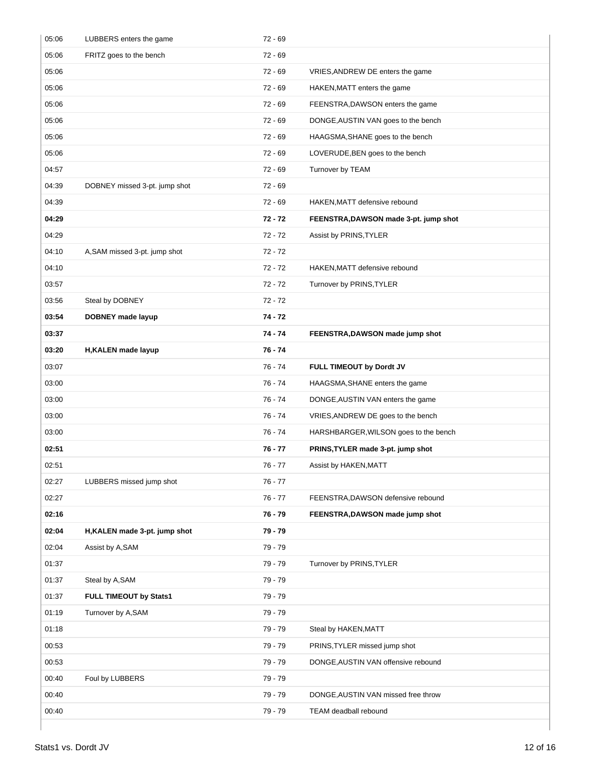| 05:06 | LUBBERS enters the game       | $72 - 69$ |                                       |
|-------|-------------------------------|-----------|---------------------------------------|
| 05:06 | FRITZ goes to the bench       | $72 - 69$ |                                       |
| 05:06 |                               | $72 - 69$ | VRIES, ANDREW DE enters the game      |
| 05:06 |                               | $72 - 69$ | HAKEN, MATT enters the game           |
| 05:06 |                               | 72 - 69   | FEENSTRA, DAWSON enters the game      |
| 05:06 |                               | 72 - 69   | DONGE, AUSTIN VAN goes to the bench   |
| 05:06 |                               | $72 - 69$ | HAAGSMA, SHANE goes to the bench      |
| 05:06 |                               | $72 - 69$ | LOVERUDE, BEN goes to the bench       |
| 04:57 |                               | $72 - 69$ | Turnover by TEAM                      |
| 04:39 | DOBNEY missed 3-pt. jump shot | $72 - 69$ |                                       |
| 04:39 |                               | 72 - 69   | HAKEN, MATT defensive rebound         |
| 04:29 |                               | $72 - 72$ | FEENSTRA, DAWSON made 3-pt. jump shot |
| 04:29 |                               | $72 - 72$ | Assist by PRINS, TYLER                |
| 04:10 | A, SAM missed 3-pt. jump shot | $72 - 72$ |                                       |
| 04:10 |                               | $72 - 72$ | HAKEN, MATT defensive rebound         |
| 03:57 |                               | $72 - 72$ | Turnover by PRINS, TYLER              |
| 03:56 | Steal by DOBNEY               | $72 - 72$ |                                       |
| 03:54 | DOBNEY made layup             | $74 - 72$ |                                       |
| 03:37 |                               | 74 - 74   | FEENSTRA, DAWSON made jump shot       |
| 03:20 | H, KALEN made layup           | $76 - 74$ |                                       |
| 03:07 |                               | 76 - 74   | FULL TIMEOUT by Dordt JV              |
| 03:00 |                               | 76 - 74   | HAAGSMA, SHANE enters the game        |
| 03:00 |                               | 76 - 74   | DONGE, AUSTIN VAN enters the game     |
| 03:00 |                               | 76 - 74   | VRIES, ANDREW DE goes to the bench    |
| 03:00 |                               | 76 - 74   | HARSHBARGER, WILSON goes to the bench |
| 02:51 |                               | 76 - 77   | PRINS, TYLER made 3-pt. jump shot     |
| 02:51 |                               | 76 - 77   | Assist by HAKEN, MATT                 |
| 02:27 | LUBBERS missed jump shot      | 76 - 77   |                                       |
| 02:27 |                               | $76 - 77$ | FEENSTRA, DAWSON defensive rebound    |
| 02:16 |                               | 76 - 79   | FEENSTRA, DAWSON made jump shot       |
| 02:04 | H, KALEN made 3-pt. jump shot | 79 - 79   |                                       |
| 02:04 | Assist by A,SAM               | 79 - 79   |                                       |
| 01:37 |                               | 79 - 79   | Turnover by PRINS, TYLER              |
| 01:37 | Steal by A,SAM                | 79 - 79   |                                       |
| 01:37 | FULL TIMEOUT by Stats1        | 79 - 79   |                                       |
| 01:19 | Turnover by A,SAM             | 79 - 79   |                                       |
| 01:18 |                               | 79 - 79   | Steal by HAKEN, MATT                  |
| 00:53 |                               | 79 - 79   | PRINS, TYLER missed jump shot         |
| 00:53 |                               | 79 - 79   | DONGE, AUSTIN VAN offensive rebound   |
| 00:40 | Foul by LUBBERS               | 79 - 79   |                                       |
| 00:40 |                               | 79 - 79   | DONGE, AUSTIN VAN missed free throw   |
| 00:40 |                               | 79 - 79   | TEAM deadball rebound                 |
|       |                               |           |                                       |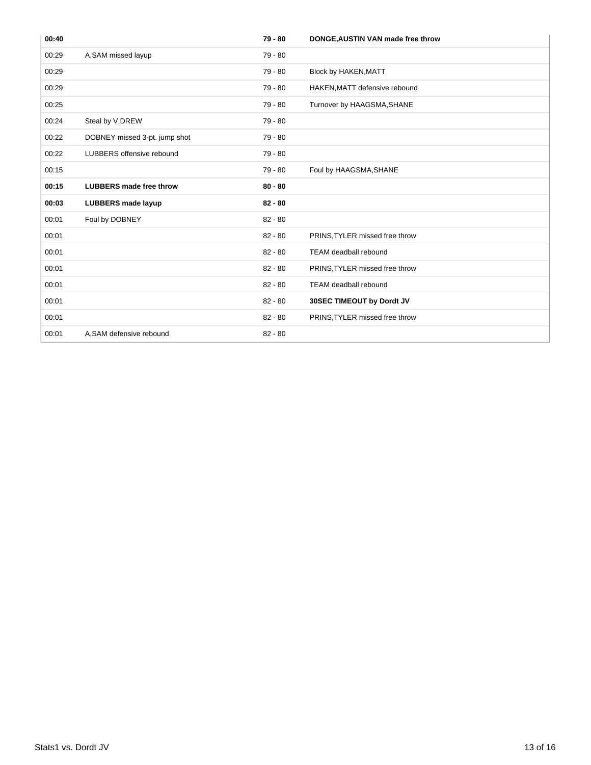| 00:40 |                                | 79 - 80   | DONGE, AUSTIN VAN made free throw |
|-------|--------------------------------|-----------|-----------------------------------|
| 00:29 | A, SAM missed layup            | $79 - 80$ |                                   |
| 00:29 |                                | 79 - 80   | <b>Block by HAKEN, MATT</b>       |
| 00:29 |                                | 79 - 80   | HAKEN, MATT defensive rebound     |
| 00:25 |                                | 79 - 80   | Turnover by HAAGSMA, SHANE        |
| 00:24 | Steal by V, DREW               | $79 - 80$ |                                   |
| 00:22 | DOBNEY missed 3-pt. jump shot  | $79 - 80$ |                                   |
| 00:22 | LUBBERS offensive rebound      | $79 - 80$ |                                   |
| 00:15 |                                | 79 - 80   | Foul by HAAGSMA, SHANE            |
| 00:15 | <b>LUBBERS</b> made free throw | $80 - 80$ |                                   |
| 00:03 | <b>LUBBERS</b> made layup      | $82 - 80$ |                                   |
| 00:01 | Foul by DOBNEY                 | $82 - 80$ |                                   |
| 00:01 |                                | $82 - 80$ | PRINS, TYLER missed free throw    |
| 00:01 |                                | $82 - 80$ | <b>TEAM deadball rebound</b>      |
| 00:01 |                                | $82 - 80$ | PRINS, TYLER missed free throw    |
| 00:01 |                                | $82 - 80$ | <b>TEAM deadball rebound</b>      |
| 00:01 |                                | $82 - 80$ | 30SEC TIMEOUT by Dordt JV         |
| 00:01 |                                | $82 - 80$ | PRINS, TYLER missed free throw    |
| 00:01 | A, SAM defensive rebound       | $82 - 80$ |                                   |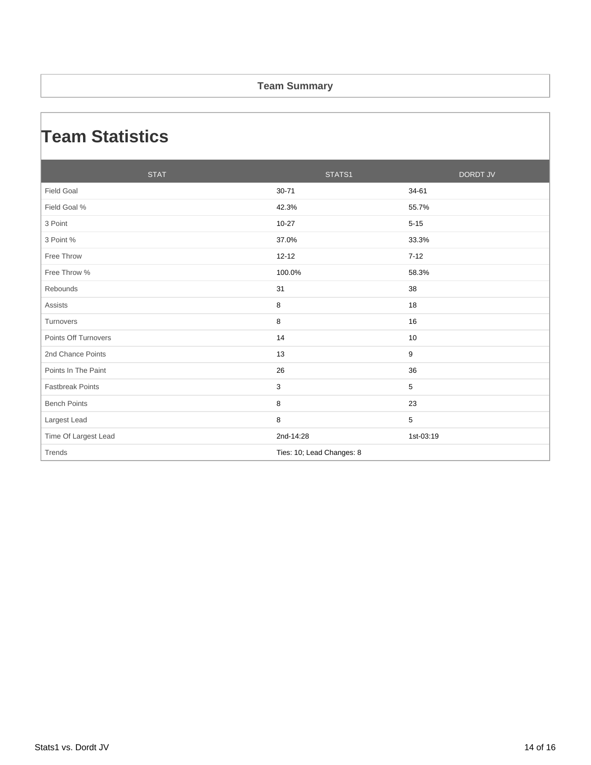#### **Team Summary**

### **Team Statistics**

| <b>STAT</b>             | STATS1                    | <b>DORDT JV</b> |
|-------------------------|---------------------------|-----------------|
| <b>Field Goal</b>       | 30-71                     | 34-61           |
| Field Goal %            | 42.3%                     | 55.7%           |
| 3 Point                 | $10 - 27$                 | $5 - 15$        |
| 3 Point %               | 37.0%                     | 33.3%           |
| Free Throw              | $12 - 12$                 | $7 - 12$        |
| Free Throw %            | 100.0%                    | 58.3%           |
| Rebounds                | 31                        | 38              |
| <b>Assists</b>          | 8                         | 18              |
| Turnovers               | 8                         | 16              |
| Points Off Turnovers    | 14                        | 10              |
| 2nd Chance Points       | 13                        | 9               |
| Points In The Paint     | 26                        | 36              |
| <b>Fastbreak Points</b> | 3                         | 5               |
| <b>Bench Points</b>     | 8                         | 23              |
| Largest Lead            | 8                         | 5               |
| Time Of Largest Lead    | 2nd-14:28                 | 1st-03:19       |
| Trends                  | Ties: 10; Lead Changes: 8 |                 |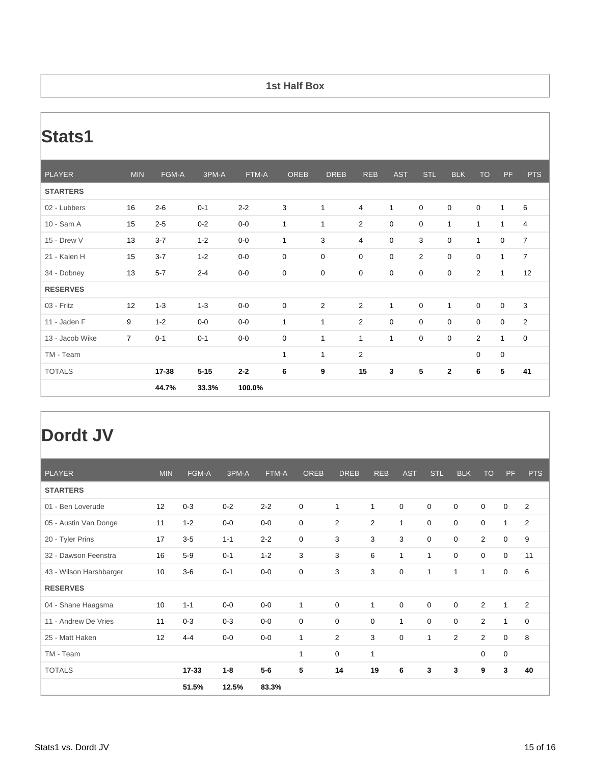#### **1st Half Box**

## **Stats1**

| <b>PLAYER</b>   | <b>MIN</b>     | FGM-A   | 3PM-A    | FTM-A   | OREB         | <b>DREB</b>    | <b>REB</b>     | <b>AST</b>   | <b>STL</b>  | <b>BLK</b>   | <b>TO</b>      | PF           | <b>PTS</b>     |
|-----------------|----------------|---------|----------|---------|--------------|----------------|----------------|--------------|-------------|--------------|----------------|--------------|----------------|
| <b>STARTERS</b> |                |         |          |         |              |                |                |              |             |              |                |              |                |
| 02 - Lubbers    | 16             | $2 - 6$ | $0 - 1$  | $2 - 2$ | 3            | $\mathbf{1}$   | $\overline{4}$ | $\mathbf{1}$ | $\mathbf 0$ | 0            | $\mathbf 0$    | $\mathbf{1}$ | 6              |
| 10 - Sam A      | 15             | $2 - 5$ | $0 - 2$  | $0-0$   | $\mathbf{1}$ | $\mathbf{1}$   | $\overline{2}$ | $\mathbf 0$  | $\mathbf 0$ | $\mathbf{1}$ | $\mathbf{1}$   | $\mathbf{1}$ | 4              |
| 15 - Drew V     | 13             | $3 - 7$ | $1 - 2$  | $0-0$   | $\mathbf{1}$ | 3              | 4              | 0            | 3           | 0            | $\mathbf{1}$   | $\mathsf 0$  | $\overline{7}$ |
| 21 - Kalen H    | 15             | $3 - 7$ | $1 - 2$  | $0-0$   | $\mathbf 0$  | $\mathbf 0$    | 0              | $\mathbf 0$  | 2           | 0            | $\mathbf 0$    | $\mathbf{1}$ | $\overline{7}$ |
| 34 - Dobney     | 13             | $5 - 7$ | $2 - 4$  | $0-0$   | $\mathbf 0$  | $\mathbf 0$    | 0              | 0            | $\mathbf 0$ | 0            | $\overline{2}$ | $\mathbf{1}$ | 12             |
| <b>RESERVES</b> |                |         |          |         |              |                |                |              |             |              |                |              |                |
| 03 - Fritz      | 12             | $1 - 3$ | $1 - 3$  | $0-0$   | $\mathbf 0$  | 2              | $\overline{2}$ | $\mathbf{1}$ | $\mathbf 0$ | $\mathbf{1}$ | $\mathbf 0$    | $\mathbf 0$  | 3              |
| 11 - Jaden F    | 9              | $1 - 2$ | $0-0$    | $0-0$   | $\mathbf{1}$ | $\mathbf{1}$   | $\overline{2}$ | $\mathbf 0$  | 0           | 0            | $\mathbf 0$    | $\mathsf 0$  | $\overline{2}$ |
| 13 - Jacob Wike | $\overline{7}$ | $0 - 1$ | $0 - 1$  | $0-0$   | $\mathbf 0$  | $\mathbf{1}$   | $\mathbf{1}$   | $\mathbf{1}$ | $\mathbf 0$ | 0            | $\overline{2}$ | $\mathbf{1}$ | 0              |
| TM - Team       |                |         |          |         | $\mathbf{1}$ | $\overline{1}$ | $\overline{2}$ |              |             |              | $\mathbf 0$    | $\mathsf 0$  |                |
| <b>TOTALS</b>   |                | 17-38   | $5 - 15$ | $2 - 2$ | 6            | 9              | 15             | 3            | 5           | $\mathbf{2}$ | 6              | 5            | 41             |
|                 |                | 44.7%   | 33.3%    | 100.0%  |              |                |                |              |             |              |                |              |                |

### **Dordt JV**

| <b>PLAYER</b>           | <b>MIN</b> | FGM-A     | 3PM-A   | FTM-A   | <b>OREB</b>  | <b>DREB</b>  | <b>REB</b>     | <b>AST</b>  | <b>STL</b>  | <b>BLK</b>  | <b>TO</b>      | <b>PF</b>    | <b>PTS</b>     |
|-------------------------|------------|-----------|---------|---------|--------------|--------------|----------------|-------------|-------------|-------------|----------------|--------------|----------------|
| <b>STARTERS</b>         |            |           |         |         |              |              |                |             |             |             |                |              |                |
| 01 - Ben Loverude       | 12         | $0 - 3$   | $0 - 2$ | $2 - 2$ | 0            | $\mathbf{1}$ | $\mathbf{1}$   | $\mathbf 0$ | $\mathbf 0$ | $\mathbf 0$ | $\mathbf 0$    | $\mathbf 0$  | 2              |
| 05 - Austin Van Donge   | 11         | $1 - 2$   | $0-0$   | $0-0$   | 0            | 2            | $\overline{2}$ | 1           | $\mathbf 0$ | $\mathbf 0$ | 0              | $\mathbf{1}$ | $\overline{2}$ |
| 20 - Tyler Prins        | 17         | $3-5$     | $1 - 1$ | $2 - 2$ | 0            | 3            | 3              | 3           | $\mathbf 0$ | $\Omega$    | $\overline{2}$ | $\mathbf 0$  | 9              |
| 32 - Dawson Feenstra    | 16         | $5-9$     | $0 - 1$ | $1 - 2$ | 3            | 3            | 6              | 1           | 1           | $\mathbf 0$ | $\mathbf 0$    | $\mathbf 0$  | 11             |
| 43 - Wilson Harshbarger | 10         | $3-6$     | $0 - 1$ | $0-0$   | 0            | 3            | 3              | 0           | 1           | 1           | $\mathbf 1$    | $\mathbf 0$  | 6              |
| <b>RESERVES</b>         |            |           |         |         |              |              |                |             |             |             |                |              |                |
| 04 - Shane Haagsma      | 10         | $1 - 1$   | $0-0$   | $0-0$   | $\mathbf{1}$ | 0            | $\mathbf{1}$   | 0           | $\mathbf 0$ | $\mathbf 0$ | $\overline{2}$ | $\mathbf{1}$ | 2              |
| 11 - Andrew De Vries    | 11         | $0 - 3$   | $0 - 3$ | $0-0$   | 0            | $\mathbf 0$  | $\mathbf 0$    | 1           | $\Omega$    | 0           | $\overline{2}$ | $\mathbf{1}$ | $\mathbf 0$    |
| 25 - Matt Haken         | 12         | $4 - 4$   | $0-0$   | $0-0$   | $\mathbf{1}$ | 2            | 3              | $\mathbf 0$ | $\mathbf 1$ | 2           | $\overline{2}$ | $\mathbf 0$  | 8              |
| TM - Team               |            |           |         |         | 1            | $\mathbf 0$  | $\mathbf{1}$   |             |             |             | 0              | $\mathbf 0$  |                |
| <b>TOTALS</b>           |            | $17 - 33$ | $1 - 8$ | $5-6$   | 5            | 14           | 19             | 6           | 3           | 3           | 9              | 3            | 40             |
|                         |            | 51.5%     | 12.5%   | 83.3%   |              |              |                |             |             |             |                |              |                |